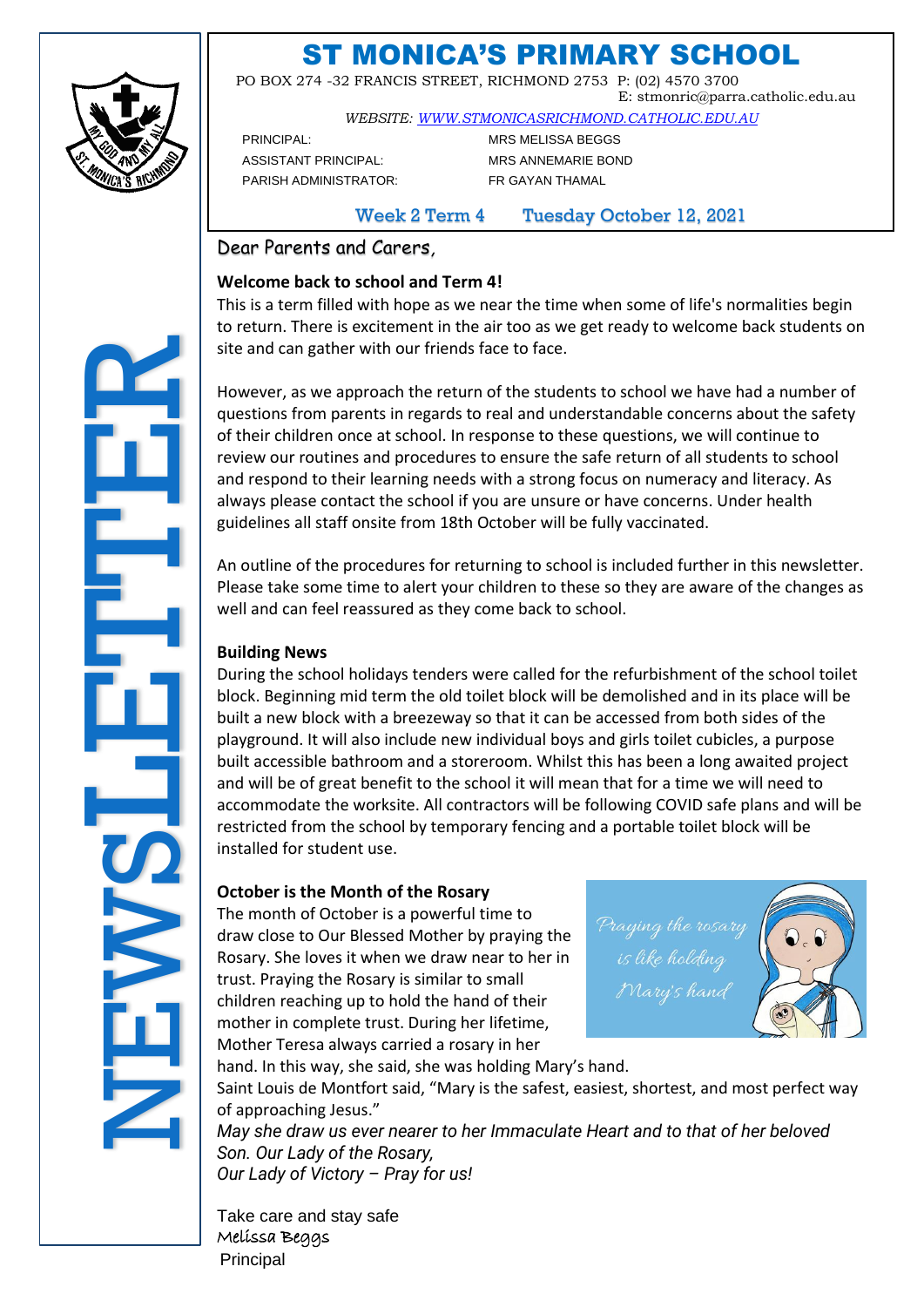

# ST MONICA'S PRIMARY SCHOOL

 PO BOX 274 -32 FRANCIS STREET, RICHMOND 2753 P: (02) 4570 3700 E: stmonric@parra.catholic.edu.au

*WEBSITE: [WWW.STMONICASRICHMOND.CATHOLIC.EDU.AU](http://www.stmonicasrichmond.catholic.edu.au/)*

PRINCIPAL: MRS MELISSA BEGGS ASSISTANT PRINCIPAL: MRS ANNEMARIE BOND PARISH ADMINISTRATOR: FR GAYAN THAMAL

Week 2 Term 4 Tuesday October 12, 2021

Dear Parents and Carers*,*

### **Welcome back to school and Term 4!**

This is a term filled with hope as we near the time when some of life's normalities begin to return. There is excitement in the air too as we get ready to welcome back students on site and can gather with our friends face to face.

However, as we approach the return of the students to school we have had a number of questions from parents in regards to real and understandable concerns about the safety of their children once at school. In response to these questions, we will continue to review our routines and procedures to ensure the safe return of all students to school and respond to their learning needs with a strong focus on numeracy and literacy. As always please contact the school if you are unsure or have concerns. Under health guidelines all staff onsite from 18th October will be fully vaccinated.

An outline of the procedures for returning to school is included further in this newsletter. Please take some time to alert your children to these so they are aware of the changes as well and can feel reassured as they come back to school.

### **Building News**

During the school holidays tenders were called for the refurbishment of the school toilet block. Beginning mid term the old toilet block will be demolished and in its place will be built a new block with a breezeway so that it can be accessed from both sides of the playground. It will also include new individual boys and girls toilet cubicles, a purpose built accessible bathroom and a storeroom. Whilst this has been a long awaited project and will be of great benefit to the school it will mean that for a time we will need to accommodate the worksite. All contractors will be following COVID safe plans and will be restricted from the school by temporary fencing and a portable toilet block will be installed for student use. site and chemical However,<br>
questions of their cl<br>
and responding to their cl<br>
and responding puring the player our service with the player our service with the player our service of the player our service of the player ou

### **October is the Month of the Rosary**

The month of October is a powerful time to draw close to Our Blessed Mother by praying the Rosary. She loves it when we draw near to her in trust. Praying the Rosary is similar to small children reaching up to hold the hand of their mother in complete trust. During her lifetime, Mother Teresa always carried a rosary in her



hand. In this way, she said, she was holding Mary's hand. Saint Louis de Montfort said, "Mary is the safest, easiest, shortest, and most perfect way of approaching Jesus."

*May she draw us ever nearer to her Immaculate Heart and to that of her beloved Son. Our Lady of the Rosary, Our Lady of Victory – Pray for us!*

Take care and stay safe Melissa Beggs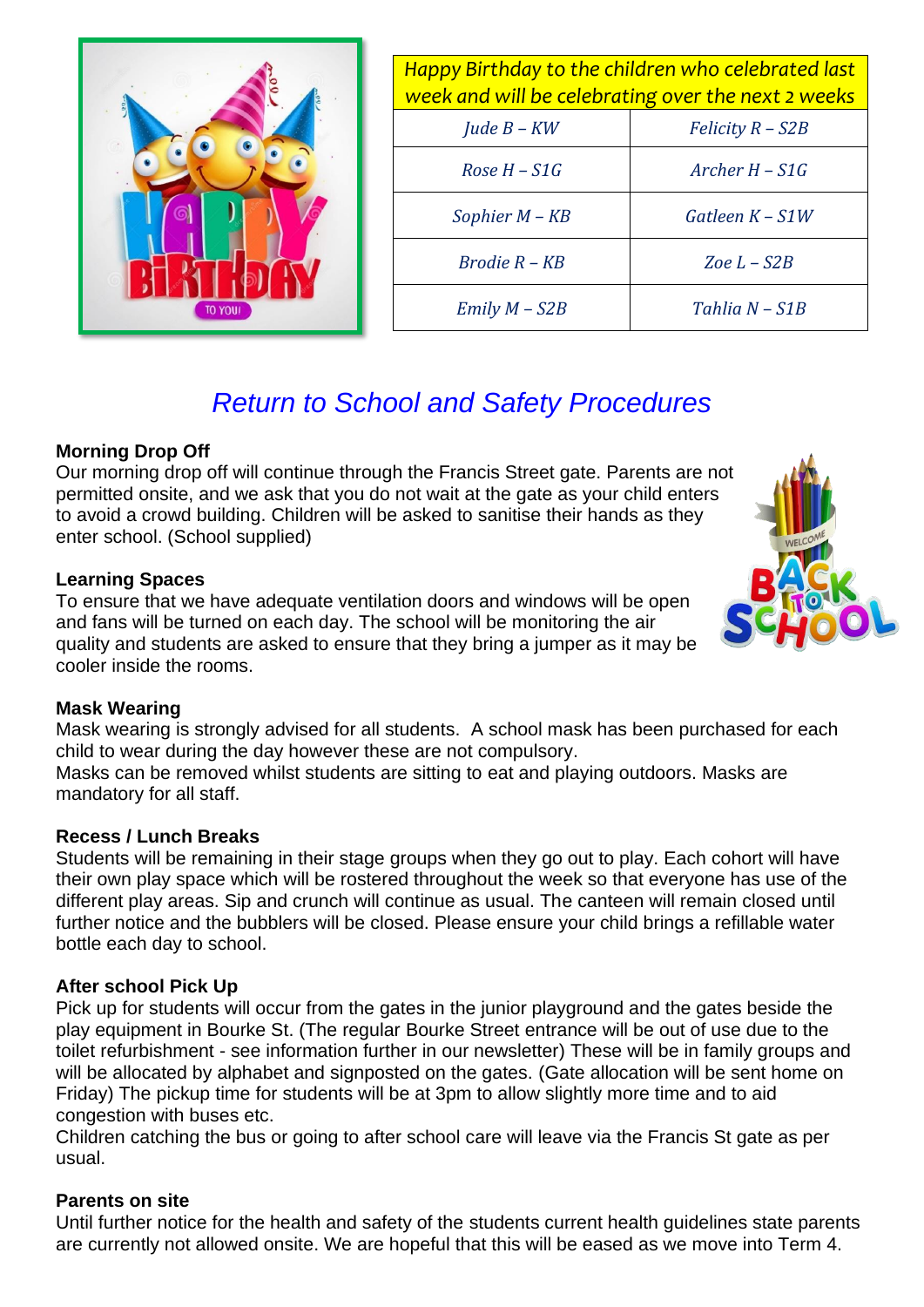| 0000 | 00 <sup>1</sup><br>$\bullet$<br>ä. |
|------|------------------------------------|
| G    | <b>TO YOU!</b>                     |

| Happy Birthday to the children who celebrated last<br>week and will be celebrating over the next 2 weeks |                    |  |  |  |  |
|----------------------------------------------------------------------------------------------------------|--------------------|--|--|--|--|
| Jude $B-KW$                                                                                              | $Felicity R - S2B$ |  |  |  |  |
| $Rose H-S1G$                                                                                             | Archer $H - S1G$   |  |  |  |  |
| Sophier M - KB                                                                                           | Gatleen $K-S1W$    |  |  |  |  |
| $Brodie R - KB$                                                                                          | Zoe $L$ – $S2B$    |  |  |  |  |
| $Emily M - S2B$                                                                                          | Tahlia N - S1B     |  |  |  |  |

# *Return to School and Safety Procedures*

### **Morning Drop Off**

Our morning drop off will continue through the Francis Street gate. Parents are not permitted onsite, and we ask that you do not wait at the gate as your child enters to avoid a crowd building. Children will be asked to sanitise their hands as they enter school. (School supplied)

### **Learning Spaces**

To ensure that we have adequate ventilation doors and windows will be open and fans will be turned on each day. The school will be monitoring the air quality and students are asked to ensure that they bring a jumper as it may be cooler inside the rooms.

### **Mask Wearing**

Mask wearing is strongly advised for all students. A school mask has been purchased for each child to wear during the day however these are not compulsory.

Masks can be removed whilst students are sitting to eat and playing outdoors. Masks are mandatory for all staff.

### **Recess / Lunch Breaks**

Students will be remaining in their stage groups when they go out to play. Each cohort will have their own play space which will be rostered throughout the week so that everyone has use of the different play areas. Sip and crunch will continue as usual. The canteen will remain closed until further notice and the bubblers will be closed. Please ensure your child brings a refillable water bottle each day to school.

### **After school Pick Up**

Pick up for students will occur from the gates in the junior playground and the gates beside the play equipment in Bourke St. (The regular Bourke Street entrance will be out of use due to the toilet refurbishment - see information further in our newsletter) These will be in family groups and will be allocated by alphabet and signposted on the gates. (Gate allocation will be sent home on Friday) The pickup time for students will be at 3pm to allow slightly more time and to aid congestion with buses etc.

Children catching the bus or going to after school care will leave via the Francis St gate as per usual.

### **Parents on site**

Until further notice for the health and safety of the students current health guidelines state parents are currently not allowed onsite. We are hopeful that this will be eased as we move into Term 4.

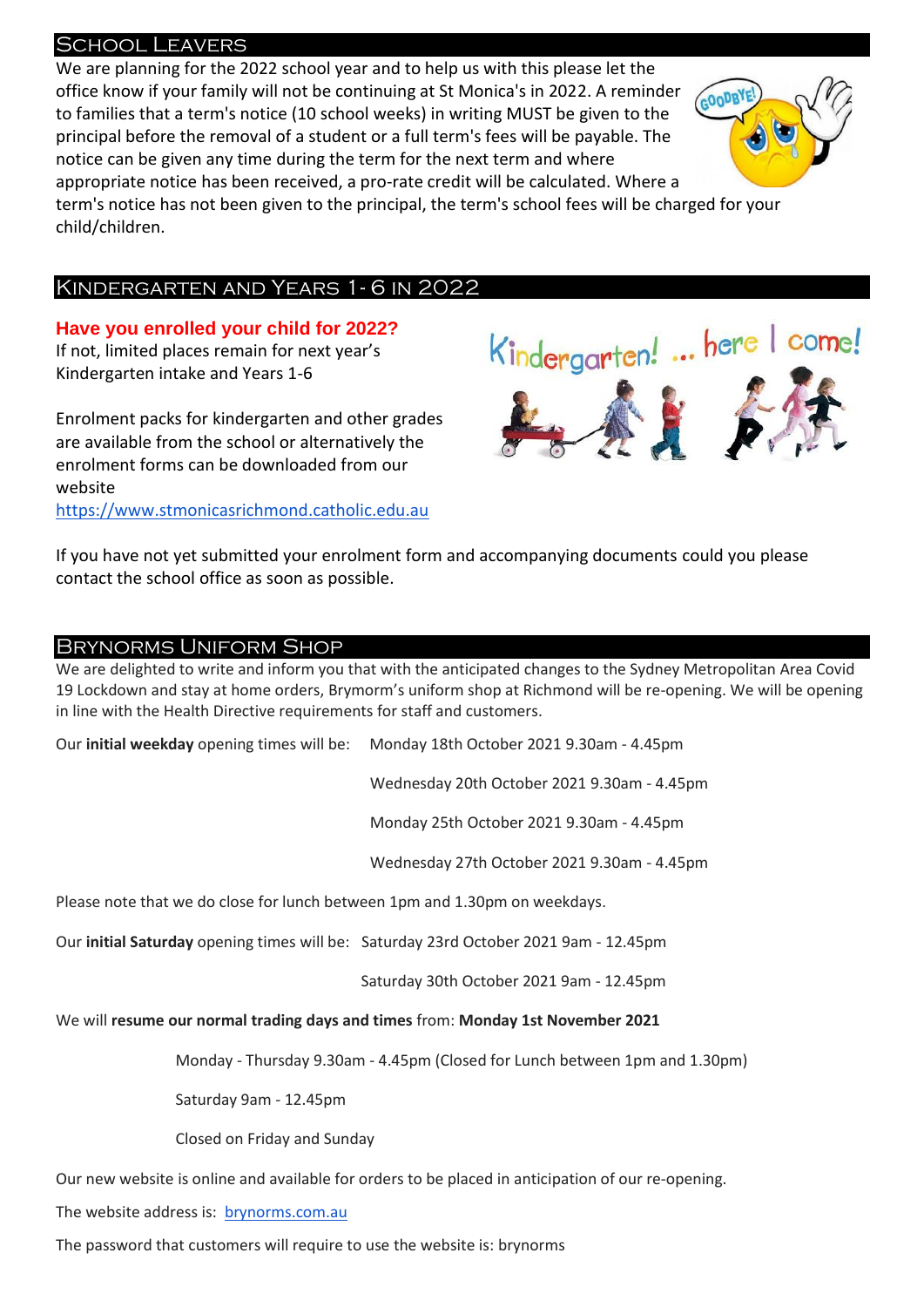### School Leavers

We are planning for the 2022 school year and to help us with this please let the office know if your family will not be continuing at St Monica's in 2022. A reminder GOODBY to families that a term's notice (10 school weeks) in writing MUST be given to the principal before the removal of a student or a full term's fees will be payable. The notice can be given any time during the term for the next term and where appropriate notice has been received, a pro-rate credit will be calculated. Where a term's notice has not been given to the principal, the term's school fees will be charged for your child/children.

### Kindergarten and Years 1- 6 in 2022

**Have you enrolled your child for 2022?** If not, limited places remain for next year's Kindergarten intake and Years 1-6

Enrolment packs for kindergarten and other grades are available from the school or alternatively the enrolment forms can be downloaded from our website [https://www.stmonicasrichmond.catholic.edu.au](https://www.stmonicasrichmond.catholic.edu.au/)



If you have not yet submitted your enrolment form and accompanying documents could you please contact the school office as soon as possible.

### Brynorms Uniform Shop

We are delighted to write and inform you that with the anticipated changes to the Sydney Metropolitan Area Covid 19 Lockdown and stay at home orders, Brymorm's uniform shop at Richmond will be re-opening. We will be opening in line with the Health Directive requirements for staff and customers.

Our **initial weekday** opening times will be: Monday 18th October 2021 9.30am - 4.45pm

Wednesday 20th October 2021 9.30am - 4.45pm

Monday 25th October 2021 9.30am - 4.45pm

Wednesday 27th October 2021 9.30am - 4.45pm

Please note that we do close for lunch between 1pm and 1.30pm on weekdays.

Our **initial Saturday** opening times will be: Saturday 23rd October 2021 9am - 12.45pm

Saturday 30th October 2021 9am - 12.45pm

We will **resume our normal trading days and times** from: **Monday 1st November 2021**

Monday - Thursday 9.30am - 4.45pm (Closed for Lunch between 1pm and 1.30pm)

Saturday 9am - 12.45pm

Closed on Friday and Sunday

Our new website is online and available for orders to be placed in anticipation of our re-opening.

The website address is: [brynorms.com.au](http://brynorms.com.au/)

The password that customers will require to use the website is: brynorms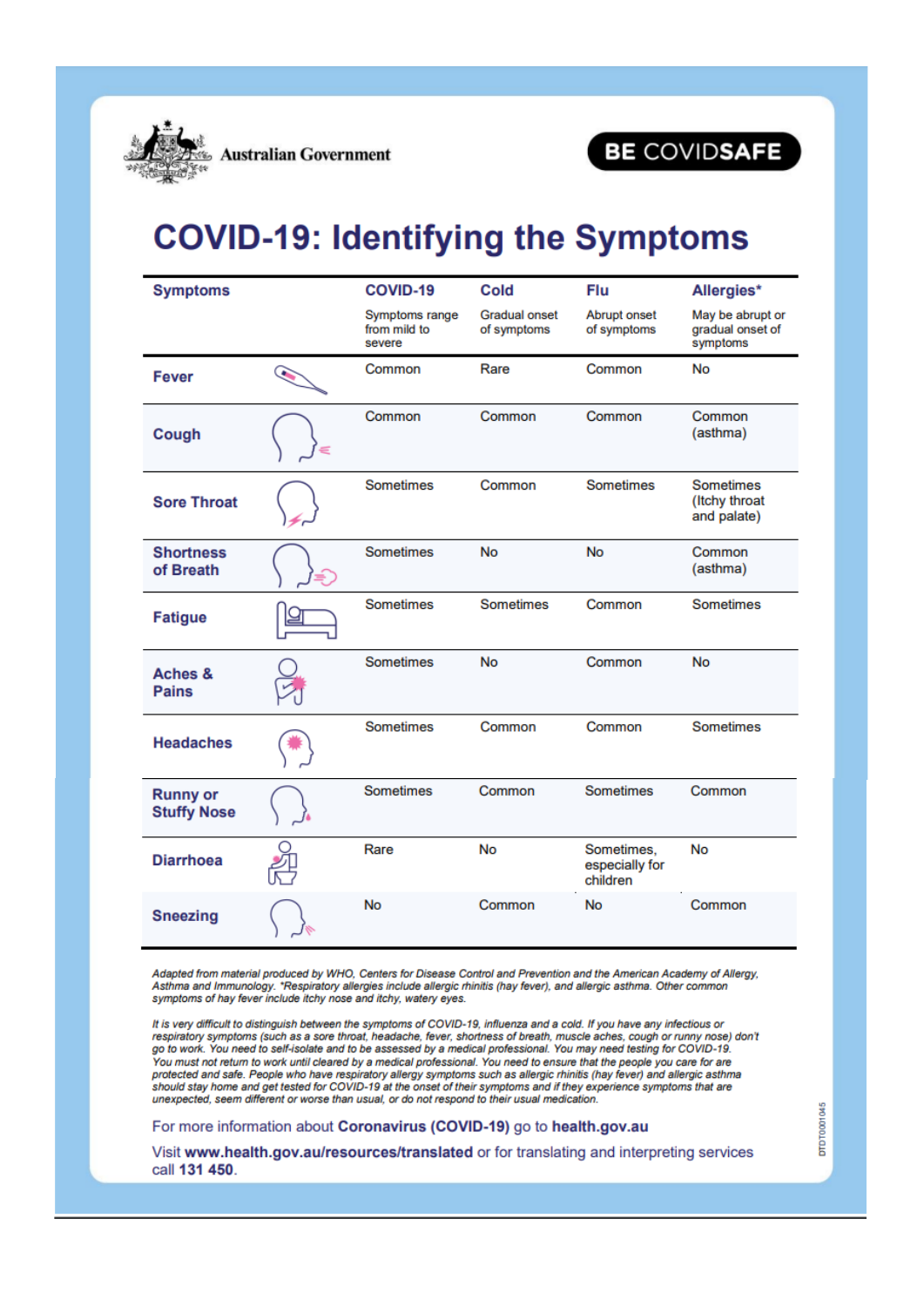

# BE COVIDSAFE

# **COVID-19: Identifying the Symptoms**

| <b>Symptoms</b>                       |                         | <b>COVID-19</b>                          | <b>Cold</b>                         | Flu                                      | Allergies*                                       |
|---------------------------------------|-------------------------|------------------------------------------|-------------------------------------|------------------------------------------|--------------------------------------------------|
|                                       |                         | Symptoms range<br>from mild to<br>severe | <b>Gradual onset</b><br>of symptoms | <b>Abrupt onset</b><br>of symptoms       | May be abrupt or<br>gradual onset of<br>symptoms |
| <b>Fever</b>                          | $\widehat{\phantom{a}}$ | Common                                   | Rare                                | Common                                   | <b>No</b>                                        |
| Cough                                 |                         | Common                                   | Common                              | Common                                   | Common<br>(asthma)                               |
| <b>Sore Throat</b>                    |                         | <b>Sometimes</b>                         | Common                              | <b>Sometimes</b>                         | <b>Sometimes</b><br>(Itchy throat<br>and palate) |
| <b>Shortness</b><br>of Breath         |                         | <b>Sometimes</b>                         | No                                  | <b>No</b>                                | Common<br>(asthma)                               |
| <b>Fatigue</b>                        |                         | <b>Sometimes</b>                         | <b>Sometimes</b>                    | Common                                   | <b>Sometimes</b>                                 |
| Aches &<br><b>Pains</b>               |                         | <b>Sometimes</b>                         | <b>No</b>                           | Common                                   | <b>No</b>                                        |
| <b>Headaches</b>                      |                         | <b>Sometimes</b>                         | Common                              | Common                                   | <b>Sometimes</b>                                 |
| <b>Runny or</b><br><b>Stuffy Nose</b> |                         | <b>Sometimes</b>                         | Common                              | <b>Sometimes</b>                         | Common                                           |
| <b>Diarrhoea</b>                      |                         | Rare                                     | <b>No</b>                           | Sometimes,<br>especially for<br>children | <b>No</b>                                        |
| <b>Sneezing</b>                       |                         | <b>No</b>                                | Common                              | No                                       | Common                                           |

Adapted from material produced by WHO, Centers for Disease Control and Prevention and the American Academy of Allergy, Address in in material produced by which, centers for bisease control and Prevention and the American Academy of A<br>Asthma and Immunology. \*Respiratory allergies include allergic rhinitis (hay fever), and allergic asthma. O

It is very difficult to distinguish between the symptoms of COVID-19, influenza and a cold. If you have any infectious or respiratory symptoms (such as a sore throat, headache, fever, shortness of breath, muscle aches, cough or runny nose) don't go to work. You need to self-isolate and to be assessed by a medical professional. You may need testing for COVID-19. You must not return to work until cleared by a medical professional. You need to ensure that the people you care for are protected and safe. People who have respiratory allergy symptoms such as allergic rhinitis (hay fever) and allergic asthma<br>should stay home and get tested for COVID-19 at the onset of their symptoms and if they experience unexpected, seem different or worse than usual, or do not respond to their usual medication.

For more information about Coronavirus (COVID-19) go to health.gov.au

Visit www.health.gov.au/resources/translated or for translating and interpreting services call 131 450.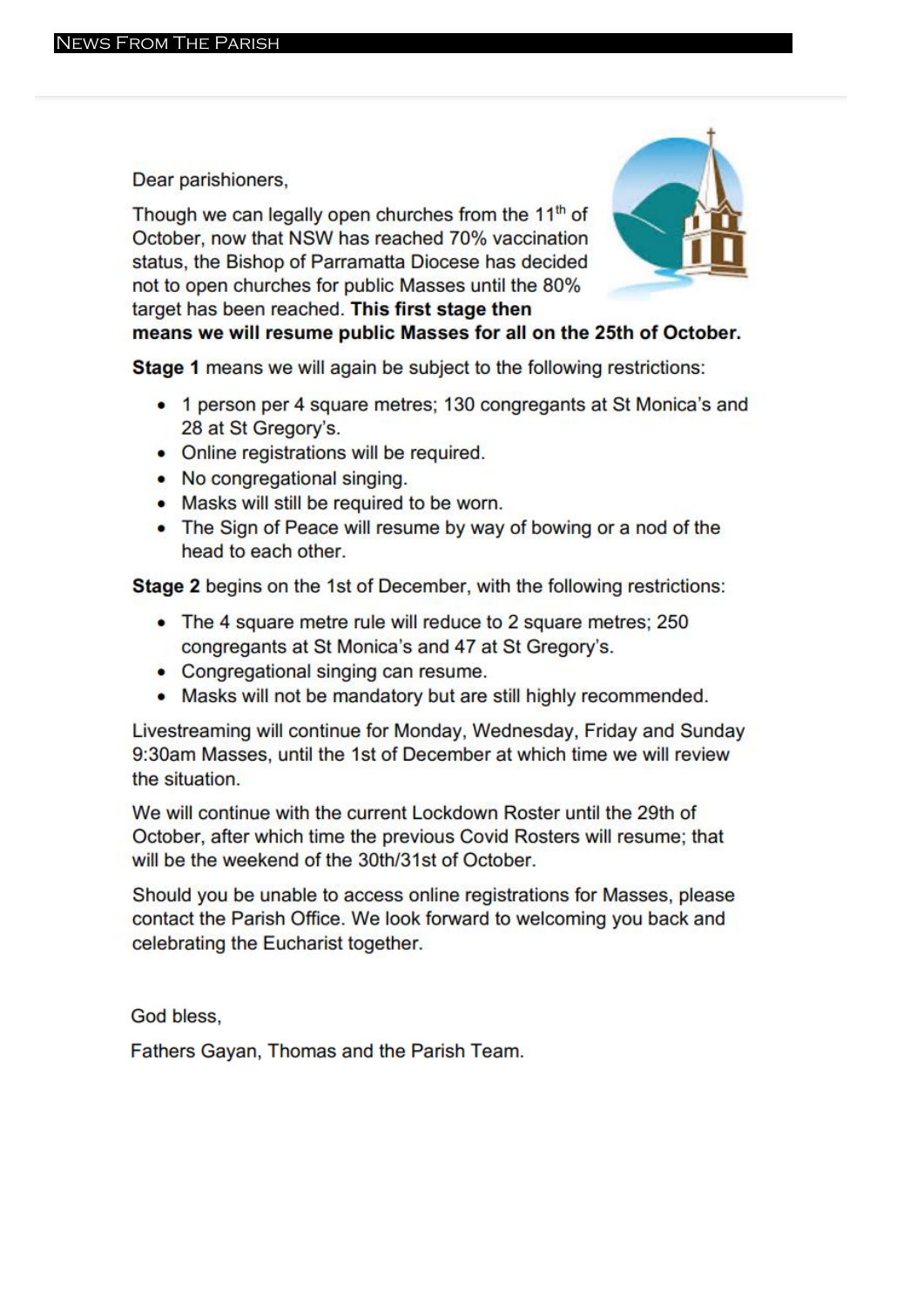Dear parishioners,

Though we can legally open churches from the 11<sup>th</sup> of October, now that NSW has reached 70% vaccination status, the Bishop of Parramatta Diocese has decided not to open churches for public Masses until the 80% target has been reached. This first stage then



means we will resume public Masses for all on the 25th of October.

Stage 1 means we will again be subject to the following restrictions:

- 1 person per 4 square metres; 130 congregants at St Monica's and 28 at St Gregory's.
- Online registrations will be required.
- No congregational singing.
- Masks will still be required to be worn.
- The Sign of Peace will resume by way of bowing or a nod of the head to each other.

Stage 2 begins on the 1st of December, with the following restrictions:

- The 4 square metre rule will reduce to 2 square metres; 250 congregants at St Monica's and 47 at St Gregory's.
- Congregational singing can resume.
- Masks will not be mandatory but are still highly recommended.

Livestreaming will continue for Monday, Wednesday, Friday and Sunday 9:30am Masses, until the 1st of December at which time we will review the situation.

We will continue with the current Lockdown Roster until the 29th of October, after which time the previous Covid Rosters will resume; that will be the weekend of the 30th/31st of October.

Should you be unable to access online registrations for Masses, please contact the Parish Office. We look forward to welcoming you back and celebrating the Eucharist together.

God bless.

Fathers Gayan, Thomas and the Parish Team.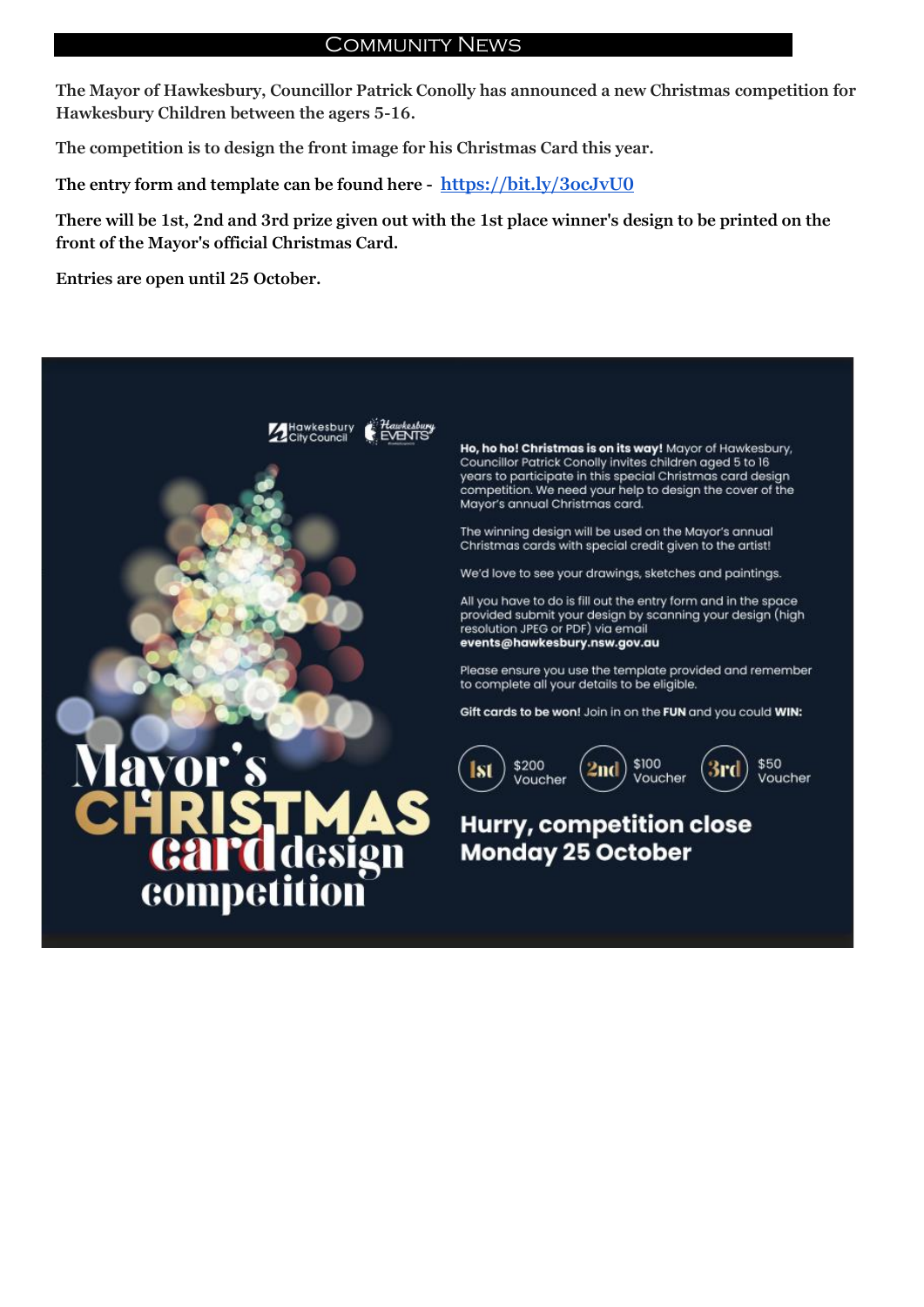### Community News

**The Mayor of Hawkesbury, Councillor Patrick Conolly has announced a new Christmas competition for Hawkesbury Children between the agers 5-16.**

**The competition is to design the front image for his Christmas Card this year.**

**The entry form and template can be found here - [https://bit.ly/3ocJvU0](https://bit.ly/3ocJvU0?fbclid=IwAR07iXK95jULqnfxjQAlk4VFZNL0VTAD_yhrW-rvD8OHJ_ItmTfOGxYVk48)**

**There will be 1st, 2nd and 3rd prize given out with the 1st place winner's design to be printed on the front of the Mayor's official Christmas Card.**

**Entries are open until 25 October.**



competit

Ho, ho ho! Christmas is on its way! Mayor of Hawkesbury, councillor Patrick Conolly invites children aged 5 to 16<br>years to participate in this special Christmas card design competition. We need your help to design the cover of the Mayor's annual Christmas card.

The winning design will be used on the Mayor's annual Christmas cards with special credit given to the artist!

We'd love to see your drawings, sketches and paintings.

All you have to do is fill out the entry form and in the space provided submit your design by scanning your design (high resolution JPEG or PDF) via email events@hawkesbury.nsw.gov.au

Please ensure you use the template provided and remember to complete all your details to be eligible.

Gift cards to be won! Join in on the FUN and you could WIN:



## Hurry, competition close **Monday 25 October**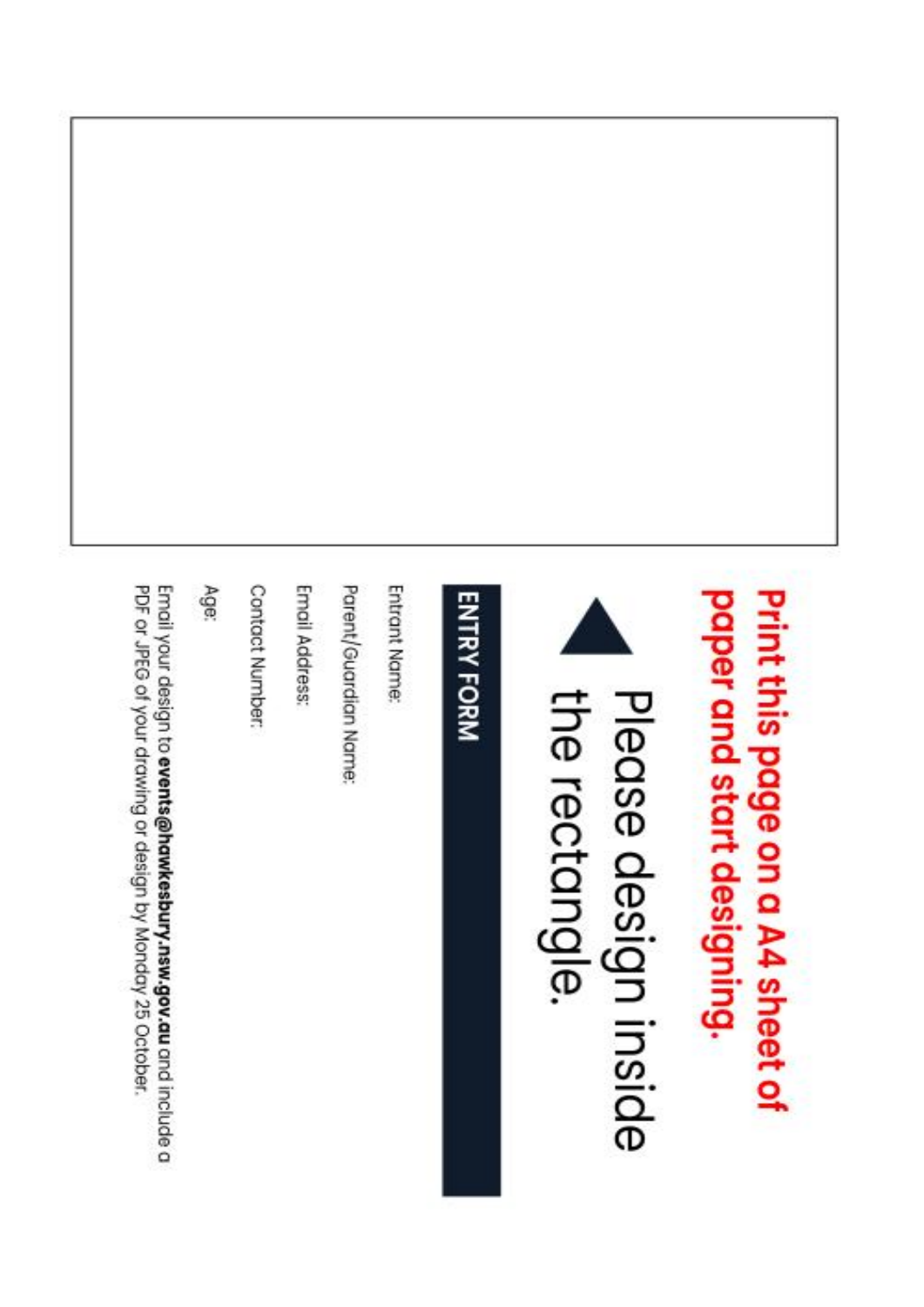



the rectangle. Please design inside

# **ENTRY FORM**

Entrant Name:

Parent/Guardian Name:

Email Address:

Contact Number:

**Age** 

PDF or JPEG of your drawing or design by Monday 25 October. Email your design to events@hawkesbury.nsw.gov.au and include a